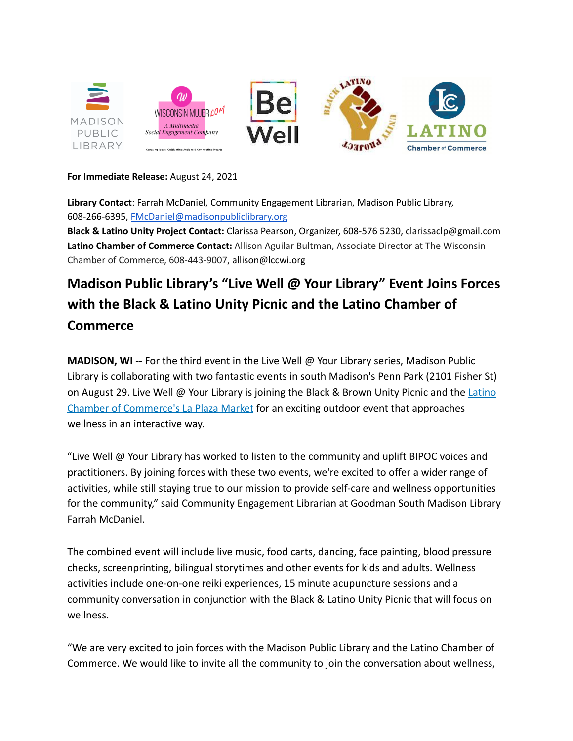

### **For Immediate Release:** August 24, 2021

**Library Contact**: Farrah McDaniel, Community Engagement Librarian, Madison Public Library, 608-266-6395, [FMcDaniel@madisonpubliclibrary.org](mailto:FMcDaniel@madisonpubliclibrary.org)

**Black & Latino Unity Project Contact:** Clarissa Pearson, Organizer, 608-576 5230, clarissaclp@gmail.com **Latino Chamber of Commerce Contact:** Allison Aguilar Bultman, Associate Director at The Wisconsin Chamber of Commerce, 608-443-9007, allison@lccwi.org

# **Madison Public Library's "Live Well @ Your Library" Event Joins Forces with the Black & Latino Unity Picnic and the Latino Chamber of Commerce**

**MADISON, WI --** For the third event in the Live Well @ Your Library series, Madison Public Library is collaborating with two fantastic events in south Madison's Penn Park (2101 Fisher St) on August 29. Live Well @ Your Library is joining the Black & Brown Unity Picnic and the [Latino](https://lccwi.org/2021/07/22/the-lcc-plaza-community-market/) [Chamber of Commerce's La Plaza Market](https://lccwi.org/2021/07/22/the-lcc-plaza-community-market/) for an exciting outdoor event that approaches wellness in an interactive way.

"Live Well @ Your Library has worked to listen to the community and uplift BIPOC voices and practitioners. By joining forces with these two events, we're excited to offer a wider range of activities, while still staying true to our mission to provide self-care and wellness opportunities for the community," said Community Engagement Librarian at Goodman South Madison Library Farrah McDaniel.

The combined event will include live music, food carts, dancing, face painting, blood pressure checks, screenprinting, bilingual storytimes and other events for kids and adults. Wellness activities include one-on-one reiki experiences, 15 minute acupuncture sessions and a community conversation in conjunction with the Black & Latino Unity Picnic that will focus on wellness.

"We are very excited to join forces with the Madison Public Library and the Latino Chamber of Commerce. We would like to invite all the community to join the conversation about wellness,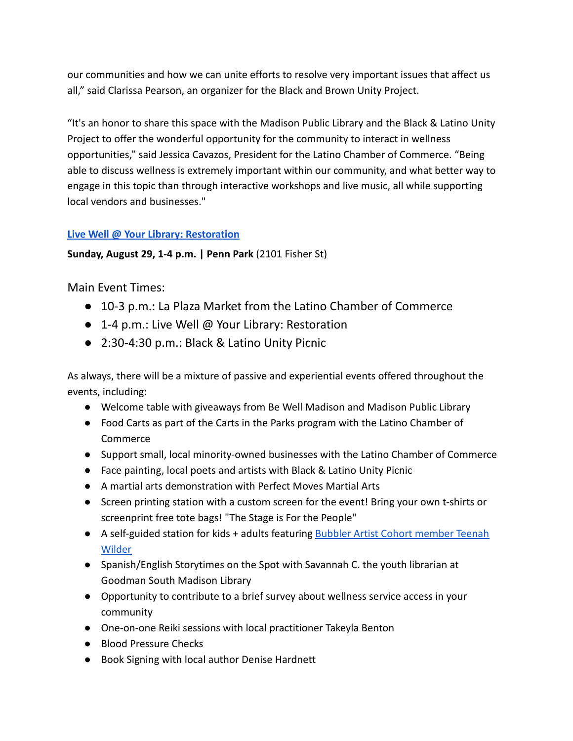our communities and how we can unite efforts to resolve very important issues that affect us all," said Clarissa Pearson, an organizer for the Black and Brown Unity Project.

"It's an honor to share this space with the Madison Public Library and the Black & Latino Unity Project to offer the wonderful opportunity for the community to interact in wellness opportunities," said Jessica Cavazos, President for the Latino Chamber of Commerce. "Being able to discuss wellness is extremely important within our community, and what better way to engage in this topic than through interactive workshops and live music, all while supporting local vendors and businesses."

# **[Live Well @ Your Library: Restoration](https://www.madisonpubliclibrary.org/events/live-well-your-library-restoration-1241840)**

## **Sunday, August 29, 1-4 p.m. | Penn Park** (2101 Fisher St)

Main Event Times:

- 10-3 p.m.: La Plaza Market from the Latino Chamber of Commerce
- 1-4 p.m.: Live Well @ Your Library: Restoration
- 2:30-4:30 p.m.: Black & Latino Unity Picnic

As always, there will be a mixture of passive and experiential events offered throughout the events, including:

- Welcome table with giveaways from Be Well Madison and Madison Public Library
- Food Carts as part of the Carts in the Parks program with the Latino Chamber of Commerce
- Support small, local minority-owned businesses with the Latino Chamber of Commerce
- Face painting, local poets and artists with Black & Latino Unity Picnic
- A martial arts demonstration with Perfect Moves Martial Arts
- Screen printing station with a custom screen for the event! Bring your own t-shirts or screenprint free tote bags! "The Stage is For the People"
- A self-guided station for kids + adults featuring [Bubbler Artist Cohort member Teenah](http://madisonbubbler.org/bubbler-artist-cohort-artists) [Wilder](http://madisonbubbler.org/bubbler-artist-cohort-artists)
- Spanish/English Storytimes on the Spot with Savannah C. the youth librarian at Goodman South Madison Library
- Opportunity to contribute to a brief survey about wellness service access in your community
- One-on-one Reiki sessions with local practitioner Takeyla Benton
- Blood Pressure Checks
- Book Signing with local author Denise Hardnett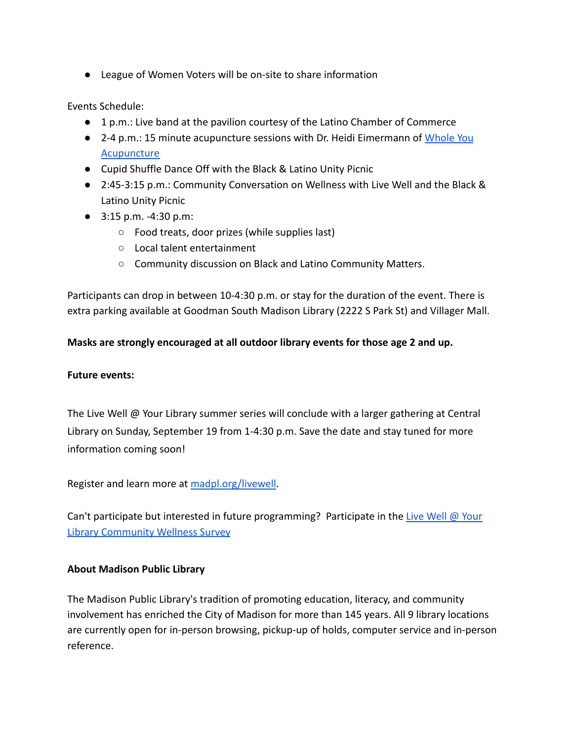● League of Women Voters will be on-site to share information

Events Schedule:

- 1 p.m.: Live band at the pavilion courtesy of the Latino Chamber of Commerce
- 2-4 p.m.: 15 minute acupuncture sessions with Dr. Heidi Eimermann of [Whole You](https://www.wholeyouacupuncture.com/) [Acupuncture](https://www.wholeyouacupuncture.com/)
- Cupid Shuffle Dance Off with the Black & Latino Unity Picnic
- 2:45-3:15 p.m.: Community Conversation on Wellness with Live Well and the Black & Latino Unity Picnic
- 3:15 p.m. -4:30 p.m:
	- Food treats, door prizes (while supplies last)
	- Local talent entertainment
	- Community discussion on Black and Latino Community Matters.

Participants can drop in between 10-4:30 p.m. or stay for the duration of the event. There is extra parking available at Goodman South Madison Library (2222 S Park St) and Villager Mall.

# **Masks are strongly encouraged at all outdoor library events for those age 2 and up.**

## **Future events:**

The Live Well @ Your Library summer series will conclude with a larger gathering at Central Library on Sunday, September 19 from 1-4:30 p.m. Save the date and stay tuned for more information coming soon!

Register and learn more at [madpl.org/livewell](http://madpl.org/livewell).

Can't participate but interested in future programming? Participate in the [Live Well @ Your](https://bit.ly/3hK2ly0) [Library Community Wellness Survey](https://bit.ly/3hK2ly0)

# **About Madison Public Library**

The Madison Public Library's tradition of promoting education, literacy, and community involvement has enriched the City of Madison for more than 145 years. All 9 library locations are currently open for in-person browsing, pickup-up of holds, computer service and in-person reference.